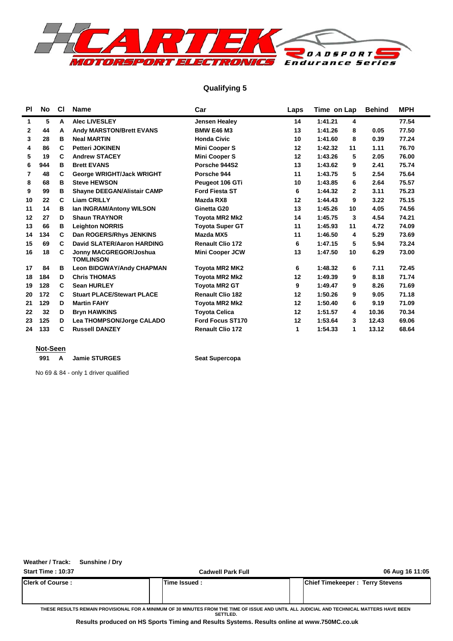

### **Qualifying 5**

| <b>PI</b>    | No  | <b>CI</b> | <b>Name</b>                                | Car                     | Laps | Time on Lap             | <b>Behind</b> | <b>MPH</b> |
|--------------|-----|-----------|--------------------------------------------|-------------------------|------|-------------------------|---------------|------------|
| 1            | 5   | A         | <b>Alec LIVESLEY</b>                       | Jensen Healey           | 14   | 1:41.21<br>4            |               | 77.54      |
| $\mathbf{2}$ | 44  | A         | Andy MARSTON/Brett EVANS                   | <b>BMW E46 M3</b>       | 13   | 1:41.26<br>8            | 0.05          | 77.50      |
| 3            | 28  | в         | <b>Neal MARTIN</b>                         | <b>Honda Civic</b>      | 10   | 1:41.60<br>8            | 0.39          | 77.24      |
| 4            | 86  | C         | <b>Petteri JOKINEN</b>                     | <b>Mini Cooper S</b>    | 12   | 1:42.32<br>11           | 1.11          | 76.70      |
| 5            | 19  | C         | <b>Andrew STACEY</b>                       | <b>Mini Cooper S</b>    | 12   | 1:43.26<br>5            | 2.05          | 76.00      |
| 6            | 944 | в         | <b>Brett EVANS</b>                         | Porsche 944S2           | 13   | 1:43.62<br>9            | 2.41          | 75.74      |
| 7            | 48  | C         | George WRIGHT/Jack WRIGHT                  | Porsche 944             | 11   | 5<br>1:43.75            | 2.54          | 75.64      |
| 8            | 68  | в         | <b>Steve HEWSON</b>                        | Peugeot 106 GTi         | 10   | 1:43.85<br>6            | 2.64          | 75.57      |
| 9            | 99  | в         | Shayne DEEGAN/Alistair CAMP                | <b>Ford Fiesta ST</b>   | 6    | 1:44.32<br>$\mathbf{2}$ | 3.11          | 75.23      |
| 10           | 22  | C         | <b>Liam CRILLY</b>                         | Mazda RX8               | 12   | 1:44.43<br>9            | 3.22          | 75.15      |
| 11           | 14  | в         | Ian INGRAM/Antony WILSON                   | Ginetta G20             | 13   | 1:45.26<br>10           | 4.05          | 74.56      |
| 12           | 27  | D         | <b>Shaun TRAYNOR</b>                       | <b>Toyota MR2 Mk2</b>   | 14   | 1:45.75<br>3            | 4.54          | 74.21      |
| 13           | 66  | в         | <b>Leighton NORRIS</b>                     | <b>Toyota Super GT</b>  | 11   | 1:45.93<br>11           | 4.72          | 74.09      |
| 14           | 134 | C         | Dan ROGERS/Rhys JENKINS                    | Mazda MX5               | 11   | 1:46.50<br>4            | 5.29          | 73.69      |
| 15           | 69  | C         | <b>David SLATER/Aaron HARDING</b>          | <b>Renault Clio 172</b> | 6    | 1:47.15<br>5            | 5.94          | 73.24      |
| 16           | 18  | C         | Jonny MACGREGOR/Joshua<br><b>TOMLINSON</b> | <b>Mini Cooper JCW</b>  | 13   | 1:47.50<br>10           | 6.29          | 73.00      |
| 17           | 84  | в         | <b>Leon BIDGWAY/Andy CHAPMAN</b>           | Toyota MR2 MK2          | 6    | 1:48.32<br>6            | 7.11          | 72.45      |
| 18           | 184 | D         | <b>Chris THOMAS</b>                        | Toyota MR2 Mk2          | 12   | 1:49.39<br>9            | 8.18          | 71.74      |
| 19           | 128 | C         | <b>Sean HURLEY</b>                         | <b>Toyota MR2 GT</b>    | 9    | 1:49.47<br>9            | 8.26          | 71.69      |
| 20           | 172 | C         | <b>Stuart PLACE/Stewart PLACE</b>          | <b>Renault Clio 182</b> | 12   | 1:50.26<br>9            | 9.05          | 71.18      |
| 21           | 129 | D         | <b>Martin FAHY</b>                         | <b>Toyota MR2 Mk2</b>   | 12   | 1:50.40<br>6            | 9.19          | 71.09      |
| 22           | 32  | D         | <b>Bryn HAWKINS</b>                        | <b>Toyota Celica</b>    | 12   | 1:51.57<br>4            | 10.36         | 70.34      |
| 23           | 125 | D         | Lea THOMPSON/Jorge CALADO                  | Ford Focus ST170        | 12   | 1:53.64<br>3            | 12.43         | 69.06      |
| 24           | 133 | C         | <b>Russell DANZEY</b>                      | <b>Renault Clio 172</b> | 1    | 1:54.33<br>1            | 13.12         | 68.64      |

### **Not-Seen**

991 A Jamie STURGES Seat Supercopa

No 69 & 84 - only 1 driver qualified

### **Weather / Track: Sunshine / Dry**

| <b>Start Time: 10:37</b>  | <b>Cadwell Park Full</b> | 06 Aug 16 11:05                        |
|---------------------------|--------------------------|----------------------------------------|
| <b>IClerk of Course :</b> | lTime Issued :           | <b>Chief Timekeeper: Terry Stevens</b> |
|                           |                          |                                        |

**THESE RESULTS REMAIN PROVISIONAL FOR A MINIMUM OF 30 MINUTES FROM THE TIME OF ISSUE AND UNTIL ALL JUDICIAL AND TECHNICAL MATTERS HAVE BEEN SETTLED.**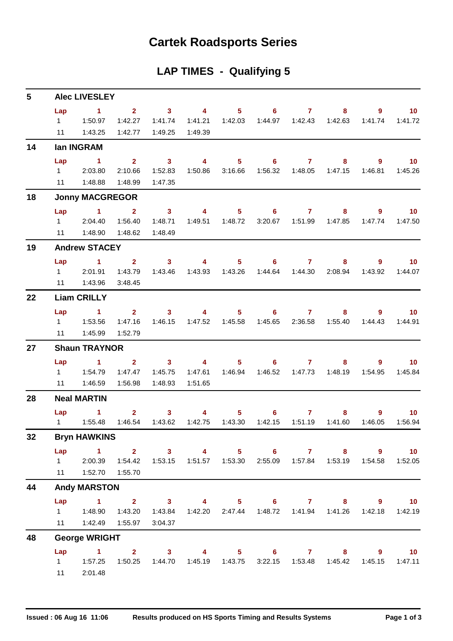## **Cartek Roadsports Series**

| <b>LAP TIMES - Qualifying 5</b> |  |  |  |  |  |
|---------------------------------|--|--|--|--|--|
|---------------------------------|--|--|--|--|--|

| 5  |           | <b>Alec LIVESLEY</b>                                                              |                         |                         |                         |                  |                   |                     |                           |                                                           |                   |
|----|-----------|-----------------------------------------------------------------------------------|-------------------------|-------------------------|-------------------------|------------------|-------------------|---------------------|---------------------------|-----------------------------------------------------------|-------------------|
|    | Lap       | $\sim$ 1                                                                          | $\overline{\mathbf{2}}$ | $\overline{\mathbf{3}}$ | $\sim$ 4                |                  | $5 \t\t 6 \t\t 7$ |                     | 8                         | 9                                                         | 10                |
|    |           |                                                                                   | 1:42.27                 | 1:41.74                 | 1:41.21                 | 1:42.03          |                   |                     |                           | 1:41.74                                                   | 1:41.72           |
|    | 11        | 1:43.25                                                                           | 1:42.77                 | 1:49.25                 | 1:49.39                 |                  |                   |                     |                           |                                                           |                   |
| 14 |           | lan INGRAM                                                                        |                         |                         |                         |                  |                   |                     |                           |                                                           |                   |
|    | Lap       | $\sim$ 1                                                                          | $2^{\circ}$             | $\sim$ 3                | $\overline{\mathbf{4}}$ | $5 -$            |                   | $6 \qquad \qquad 7$ | 8                         | 9                                                         | 10                |
|    |           | 12:03.80                                                                          | 2:10.66                 | 1:52.83                 | 1:50.86                 | 3:16.66          |                   |                     |                           | 1:46.81                                                   | 1:45.26           |
|    |           | 11 1:48.88                                                                        | 1:48.99                 | 1:47.35                 |                         |                  |                   |                     |                           |                                                           |                   |
| 18 |           | <b>Jonny MACGREGOR</b>                                                            |                         |                         |                         |                  |                   |                     |                           |                                                           |                   |
|    | Lap       | $\sim$ 1 $\sim$ 2                                                                 |                         | $\overline{\mathbf{3}}$ | $\sim$ 4 $\sim$         |                  | $5 \t\t 6 \t\t 7$ |                     | 8                         | 9                                                         | $\blacksquare$ 10 |
|    |           | 1 2:04.40                                                                         | 1:56.40                 | 1:48.71                 |                         |                  | 3:20.67           |                     |                           | 1:47.74                                                   | 1:47.50           |
|    | 11        | 1:48.90                                                                           | 1:48.62                 | 1:48.49                 |                         |                  |                   |                     |                           |                                                           |                   |
| 19 |           | <b>Andrew STACEY</b>                                                              |                         |                         |                         |                  |                   |                     |                           |                                                           |                   |
|    | Lap       | $\sim$ 1                                                                          | 2 <sup>7</sup>          | $\sim$ 3                | $\overline{4}$          | $5 -$            |                   | $6 \overline{7}$    | 8                         | $9^{\circ}$                                               | $-10$             |
|    |           | 1 2:01.91                                                                         | 1:43.79                 | 1:43.46                 |                         | 1:43.93  1:43.26 |                   |                     | 1:44.64  1:44.30  2:08.94 | 1:43.92                                                   | 1:44.07           |
|    |           | 11  1:43.96                                                                       | 3:48.45                 |                         |                         |                  |                   |                     |                           |                                                           |                   |
| 22 |           | <b>Liam CRILLY</b>                                                                |                         |                         |                         |                  |                   |                     |                           |                                                           |                   |
|    | Lap       | $\sim$ $-1$                                                                       |                         | $2 \qquad 3 \qquad 4$   |                         |                  | $5 \t\t 6 \t\t 7$ |                     | 8                         | 9.                                                        | $\sim$ 10         |
|    |           |                                                                                   | 1:47.16                 | 1:46.15                 |                         |                  |                   | 1:45.65 2:36.58     | 1:55.40                   | 1:44.43                                                   | 1:44.91           |
|    | 11        | 1:45.99                                                                           | 1:52.79                 |                         |                         |                  |                   |                     |                           |                                                           |                   |
| 27 |           | <b>Shaun TRAYNOR</b>                                                              |                         |                         |                         |                  |                   |                     |                           |                                                           |                   |
|    | Lap       | $\blacktriangleleft$                                                              | $\overline{\mathbf{2}}$ | $\sim$ 3                | $\overline{\mathbf{4}}$ |                  | $5 \t\t 6 \t\t 7$ |                     | 8                         | 9                                                         | 10 <sup>°</sup>   |
|    |           |                                                                                   | 1:47.47                 | 1:45.75                 |                         |                  |                   |                     |                           | 1:54.95                                                   | 1:45.84           |
|    | 11        | 1:46.59                                                                           | 1:56.98                 | 1:48.93                 | 1:51.65                 |                  |                   |                     |                           |                                                           |                   |
| 28 |           | <b>Neal MARTIN</b>                                                                |                         |                         |                         |                  |                   |                     |                           |                                                           |                   |
|    | Lap       | $\sim$ $-1$                                                                       | $\mathbf{2}$            | $\sim$ 3                | $\overline{\mathbf{4}}$ |                  | $5 \t\t 6$        | $\overline{7}$      | 8                         | 9.                                                        | $-10$             |
|    |           |                                                                                   | 1:46.54                 | 1:43.62                 | 1:42.75                 | 1:43.30          | 1:42.15           | 1:51.19             | 1:41.60                   | 1:46.05                                                   | 1:56.94           |
| 32 |           | <b>Bryn HAWKINS</b>                                                               |                         |                         |                         |                  |                   |                     |                           |                                                           |                   |
|    | Lap       | 1 2 3 4 5 6 7 8 9                                                                 |                         |                         |                         |                  |                   |                     |                           |                                                           | $-10$             |
|    |           | 1 2:00.39  1:54.42  1:53.15  1:51.57  1:53.30  2:55.09  1:57.84  1:53.19  1:54.58 |                         |                         |                         |                  |                   |                     |                           |                                                           | 1:52.05           |
|    |           | 11  1:52.70  1:55.70                                                              |                         |                         |                         |                  |                   |                     |                           |                                                           |                   |
| 44 |           | <b>Andy MARSTON</b>                                                               |                         |                         |                         |                  |                   |                     |                           |                                                           |                   |
|    |           | Lap 1 2 3 4 5 6 7 8 9 10                                                          |                         |                         |                         |                  |                   |                     |                           |                                                           |                   |
|    | $1 \quad$ | 1:48.90  1:43.20                                                                  |                         | 1:43.84                 |                         |                  |                   |                     |                           | 1:42.20   2:47.44   1:48.72   1:41.94   1:41.26   1:42.18 | 1:42.19           |
|    |           | 11   1:42.49   1:55.97                                                            |                         | 3:04.37                 |                         |                  |                   |                     |                           |                                                           |                   |
| 48 |           | <b>George WRIGHT</b>                                                              |                         |                         |                         |                  |                   |                     |                           |                                                           |                   |
|    | Lap       | $1 \qquad 2 \qquad 3 \qquad 4 \qquad 5 \qquad 6 \qquad 7 \qquad 8$                |                         |                         |                         |                  |                   |                     |                           | $9^{\circ}$                                               | $\overline{10}$   |
|    |           |                                                                                   |                         |                         |                         |                  |                   |                     |                           | 3:22.15  1:53.48  1:45.42  1:45.15                        | 1:47.11           |
|    | 11        | 2:01.48                                                                           |                         |                         |                         |                  |                   |                     |                           |                                                           |                   |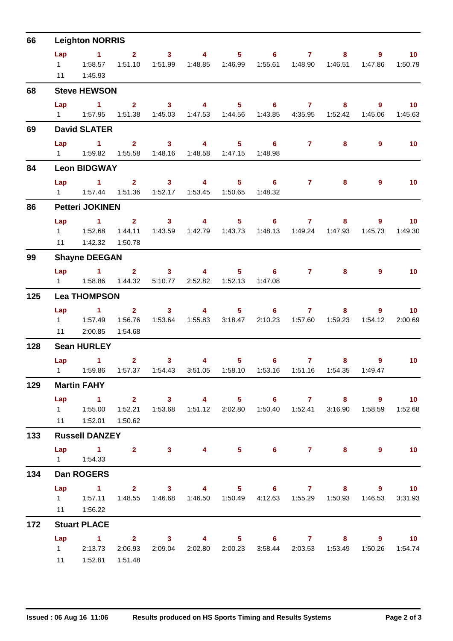| 66  |           | <b>Leighton NORRIS</b>                                                                                                                                                                                                                                      |                    |                                                                                                                                                                                                                                                                                                                                                                                                                         |                                               |                                                                                                                                                                                                                                                                                                                                    |                                                                                 |                   |                                       |                         |                                     |
|-----|-----------|-------------------------------------------------------------------------------------------------------------------------------------------------------------------------------------------------------------------------------------------------------------|--------------------|-------------------------------------------------------------------------------------------------------------------------------------------------------------------------------------------------------------------------------------------------------------------------------------------------------------------------------------------------------------------------------------------------------------------------|-----------------------------------------------|------------------------------------------------------------------------------------------------------------------------------------------------------------------------------------------------------------------------------------------------------------------------------------------------------------------------------------|---------------------------------------------------------------------------------|-------------------|---------------------------------------|-------------------------|-------------------------------------|
|     | Lap<br>11 | $\sim$ $\sim$ 1<br>1:45.93                                                                                                                                                                                                                                  | 1:51.10            | $2 \t 3$<br>1:51.99                                                                                                                                                                                                                                                                                                                                                                                                     | $\sim$ 4 and $\sim$ 4 and $\sim$ 4 and $\sim$ |                                                                                                                                                                                                                                                                                                                                    | $5 \t\t 6 \t\t 7$                                                               |                   | $8 -$<br>1:55.61  1:48.90  1:46.51    | 9<br>1:47.86            | $\blacksquare$ 10<br>1:50.79        |
| 68  |           | <b>Steve HEWSON</b>                                                                                                                                                                                                                                         |                    |                                                                                                                                                                                                                                                                                                                                                                                                                         |                                               |                                                                                                                                                                                                                                                                                                                                    |                                                                                 |                   |                                       |                         |                                     |
|     | Lap       | $\blacktriangleleft$<br>1   1:57.95   1:51.38   1:45.03   1:47.53   1:44.56   1:43.85   4:35.95   1:52.42                                                                                                                                                   |                    | $2 \qquad \qquad 3$                                                                                                                                                                                                                                                                                                                                                                                                     |                                               |                                                                                                                                                                                                                                                                                                                                    | 4 5 6 7                                                                         |                   | 8                                     | $9^{\circ}$             | 10 <sup>°</sup><br>1:45.06  1:45.63 |
| 69  |           | <b>David SLATER</b>                                                                                                                                                                                                                                         |                    |                                                                                                                                                                                                                                                                                                                                                                                                                         |                                               |                                                                                                                                                                                                                                                                                                                                    |                                                                                 |                   |                                       |                         |                                     |
|     | Lap       | $\sim$ $\sim$ 1                                                                                                                                                                                                                                             |                    |                                                                                                                                                                                                                                                                                                                                                                                                                         | $2 \t 3 \t 4$                                 |                                                                                                                                                                                                                                                                                                                                    | $5 \t\t 6$<br>1:48.98                                                           | $7 \pm 7$         | 8                                     | $\overline{9}$          | 10                                  |
| 84  |           | <b>Leon BIDGWAY</b>                                                                                                                                                                                                                                         |                    |                                                                                                                                                                                                                                                                                                                                                                                                                         |                                               |                                                                                                                                                                                                                                                                                                                                    |                                                                                 |                   |                                       |                         |                                     |
|     | Lap       | $\sim$ 1                                                                                                                                                                                                                                                    | 1:51.36            | $2 \qquad \qquad 3$                                                                                                                                                                                                                                                                                                                                                                                                     | $\sim$ 4                                      |                                                                                                                                                                                                                                                                                                                                    | $5 \t\t 6$<br>1:48.32                                                           |                   | $7 \quad \overline{\phantom{1}}$<br>8 | $\overline{9}$          | 10                                  |
| 86  |           | <b>Petteri JOKINEN</b>                                                                                                                                                                                                                                      |                    |                                                                                                                                                                                                                                                                                                                                                                                                                         |                                               |                                                                                                                                                                                                                                                                                                                                    |                                                                                 |                   |                                       |                         |                                     |
|     | Lap       | $1 \t 2 \t 3$<br>11   1:42.32                                                                                                                                                                                                                               | 1:44.11<br>1:50.78 | 1:43.59                                                                                                                                                                                                                                                                                                                                                                                                                 | $\sim$ 4                                      |                                                                                                                                                                                                                                                                                                                                    | $5 \t\t 6 \t\t 7$<br>1:48.13                                                    |                   | 8 <sub>1</sub><br>1:49.24  1:47.93    | 9<br>1:45.73            | $\overline{10}$<br>1:49.30          |
| 99  |           | <b>Shayne DEEGAN</b>                                                                                                                                                                                                                                        |                    |                                                                                                                                                                                                                                                                                                                                                                                                                         |                                               |                                                                                                                                                                                                                                                                                                                                    |                                                                                 |                   |                                       |                         |                                     |
|     |           | Lap 1 2 3 4 5 6                                                                                                                                                                                                                                             | 1:44.32            |                                                                                                                                                                                                                                                                                                                                                                                                                         | 5:10.77  2:52.82  1:52.13                     |                                                                                                                                                                                                                                                                                                                                    | 1:47.08                                                                         |                   | $7 \quad \overline{\phantom{1}}$<br>8 | $\overline{9}$          | 10                                  |
| 125 |           | <b>Lea THOMPSON</b>                                                                                                                                                                                                                                         |                    |                                                                                                                                                                                                                                                                                                                                                                                                                         |                                               |                                                                                                                                                                                                                                                                                                                                    |                                                                                 |                   |                                       |                         |                                     |
|     | Lap       | <b>Contract Advised Service</b><br>11 2:00.85                                                                                                                                                                                                               | 1:56.76<br>1:54.68 | $2 \t 3$<br>1:53.64                                                                                                                                                                                                                                                                                                                                                                                                     | 1:55.83 3:18.47                               | $\overline{4}$ and $\overline{4}$ and $\overline{4}$ and $\overline{4}$ and $\overline{4}$ and $\overline{4}$ and $\overline{4}$ and $\overline{4}$ and $\overline{4}$ and $\overline{4}$ and $\overline{4}$ and $\overline{4}$ and $\overline{4}$ and $\overline{4}$ and $\overline{4}$ and $\overline{4}$ and $\overline{4}$ and | $5 \t\t 6 \t\t 7$<br>2:10.23                                                    |                   |                                       | $8 - 1$<br>9<br>1:54.12 | $\sim$ 10<br>2:00.69                |
| 128 |           | <b>Sean HURLEY</b>                                                                                                                                                                                                                                          |                    |                                                                                                                                                                                                                                                                                                                                                                                                                         |                                               |                                                                                                                                                                                                                                                                                                                                    |                                                                                 |                   |                                       |                         |                                     |
|     |           | <b>Lap</b> and the set of the set of the set of the set of the set of the set of the set of the set of the set of the set of the set of the set of the set of the set of the set of the set of the set of the set of the set of the<br>$\blacktriangleleft$ |                    | $\overline{\mathbf{2}}$ and $\overline{\mathbf{2}}$ and $\overline{\mathbf{2}}$ and $\overline{\mathbf{2}}$ and $\overline{\mathbf{2}}$ and $\overline{\mathbf{2}}$ and $\overline{\mathbf{2}}$ and $\overline{\mathbf{2}}$ and $\overline{\mathbf{2}}$ and $\overline{\mathbf{2}}$ and $\overline{\mathbf{2}}$ and $\overline{\mathbf{2}}$ and $\overline{\mathbf{2}}$ and $\overline{\mathbf{2}}$ a<br>3 <sup>1</sup> | 4                                             |                                                                                                                                                                                                                                                                                                                                    | $5^{\circ}$<br>3:51.05  1:58.10  1:53.16  1:51.16  1:54.35                      | $6 \qquad \qquad$ | $7 \quad \bullet$<br>$8 -$            | 9<br>1:49.47            | 10                                  |
| 129 |           | <b>Martin FAHY</b>                                                                                                                                                                                                                                          |                    |                                                                                                                                                                                                                                                                                                                                                                                                                         |                                               |                                                                                                                                                                                                                                                                                                                                    |                                                                                 |                   |                                       |                         |                                     |
|     |           | Lap 1 2 3 4 5 6 7 8 9 10<br>11  1:52.01  1:50.62                                                                                                                                                                                                            |                    |                                                                                                                                                                                                                                                                                                                                                                                                                         |                                               |                                                                                                                                                                                                                                                                                                                                    | 1:52.21  1:53.68  1:51.12  2:02.80  1:50.40  1:52.41  3:16.90  1:58.59  1:52.68 |                   |                                       |                         |                                     |
| 133 |           | <b>Russell DANZEY</b>                                                                                                                                                                                                                                       |                    |                                                                                                                                                                                                                                                                                                                                                                                                                         |                                               |                                                                                                                                                                                                                                                                                                                                    |                                                                                 |                   |                                       |                         |                                     |
|     |           | Lap 1 2 3 4 5 6 7 8                                                                                                                                                                                                                                         |                    |                                                                                                                                                                                                                                                                                                                                                                                                                         |                                               |                                                                                                                                                                                                                                                                                                                                    |                                                                                 |                   |                                       | 9                       | $\sim$ 10                           |
| 134 |           | Dan ROGERS                                                                                                                                                                                                                                                  |                    |                                                                                                                                                                                                                                                                                                                                                                                                                         |                                               |                                                                                                                                                                                                                                                                                                                                    |                                                                                 |                   |                                       |                         |                                     |
|     |           | Lap 1 2 3 4 5 6 7 8 9 10<br>1   1:57.11   1:48.55   1:46.68   1:46.50   1:50.49   4:12.63   1:55.29   1:50.93   1:46.53   3:31.93<br>11  1:56.22                                                                                                            |                    |                                                                                                                                                                                                                                                                                                                                                                                                                         |                                               |                                                                                                                                                                                                                                                                                                                                    |                                                                                 |                   |                                       |                         |                                     |
| 172 |           | <b>Stuart PLACE</b>                                                                                                                                                                                                                                         |                    |                                                                                                                                                                                                                                                                                                                                                                                                                         |                                               |                                                                                                                                                                                                                                                                                                                                    |                                                                                 |                   |                                       |                         |                                     |
|     | Lap       | 1 2 3 4 5 6 7 8 9 10<br>1 2:13.73 2:06.93 2:09.04 2:02.80 2:00.23 3:58.44 2:03.53 1:53.49 1:50.26 1:54.74<br>11  1:52.81  1:51.48                                                                                                                           |                    |                                                                                                                                                                                                                                                                                                                                                                                                                         |                                               |                                                                                                                                                                                                                                                                                                                                    |                                                                                 |                   |                                       |                         |                                     |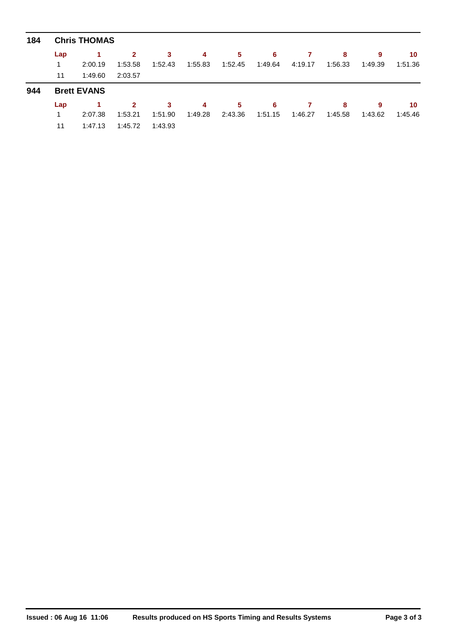| 184 | <b>Chris THOMAS</b> |                    |              |         |         |         |         |         |         |         |         |  |  |
|-----|---------------------|--------------------|--------------|---------|---------|---------|---------|---------|---------|---------|---------|--|--|
|     | Lap                 |                    | 2            | 3       | 4       | 5       | 6       |         | 8       | 9       | 10      |  |  |
|     |                     | 2:00.19            | 1:53.58      | 1:52.43 | 1:55.83 | 1:52.45 | 1:49.64 | 4:19.17 | 1:56.33 | 1:49.39 | 1:51.36 |  |  |
|     | 11                  | 1:49.60            | 2:03.57      |         |         |         |         |         |         |         |         |  |  |
| 944 |                     |                    |              |         |         |         |         |         |         |         |         |  |  |
|     |                     | <b>Brett EVANS</b> |              |         |         |         |         |         |         |         |         |  |  |
|     | Lap                 |                    | $\mathbf{2}$ | 3       | 4       | 5       | 6       |         | 8       | 9       | 10      |  |  |
|     |                     | 2:07.38            | 1:53.21      | 1:51.90 | 1:49.28 | 2:43.36 | 1:51.15 | 1:46.27 | 1:45.58 | 1:43.62 | 1:45.46 |  |  |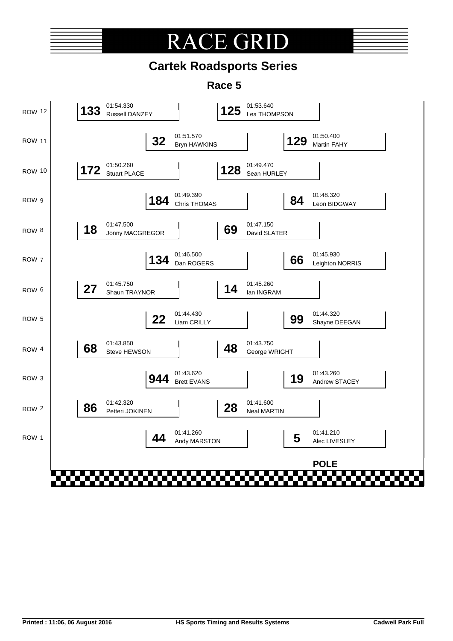# **RACE GRI**

## **Cartek Roadsports Series**

**Race 5**

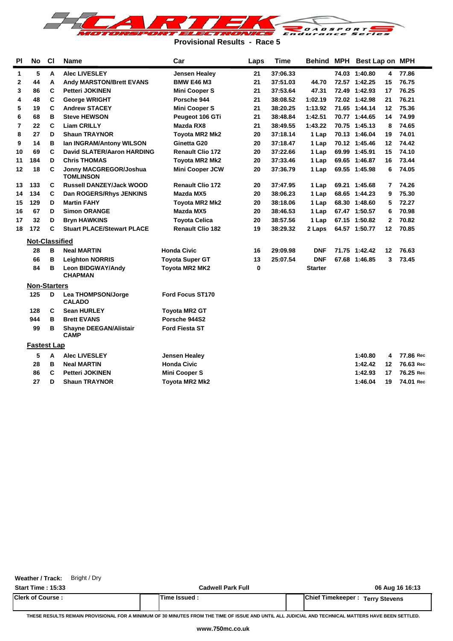

**Provisional Results - Race 5**

| <b>PI</b> | No                  | <b>CI</b> | <b>Name</b>                                  | Car                     | Laps     | <b>Time</b> | Behind MPH     | Best Lap on MPH |                         |           |
|-----------|---------------------|-----------|----------------------------------------------|-------------------------|----------|-------------|----------------|-----------------|-------------------------|-----------|
| 1         | 5                   | A         | <b>Alec LIVESLEY</b>                         | <b>Jensen Healey</b>    | 21       | 37:06.33    |                | 74.03 1:40.80   | 4                       | 77.86     |
| 2         | 44                  | A         | <b>Andy MARSTON/Brett EVANS</b>              | <b>BMW E46 M3</b>       | 21       | 37:51.03    | 44.70          | 72.57 1:42.25   | 15                      | 76.75     |
| 3         | 86                  | C         | <b>Petteri JOKINEN</b>                       | <b>Mini Cooper S</b>    | 21       | 37:53.64    | 47.31          | 72.49 1:42.93   | 17                      | 76.25     |
| 4         | 48                  | C         | <b>George WRIGHT</b>                         | Porsche 944             | 21       | 38:08.52    | 1:02.19        | 72.02 1:42.98   | 21                      | 76.21     |
| 5         | 19                  | C         | <b>Andrew STACEY</b>                         | <b>Mini Cooper S</b>    | 21       | 38:20.25    | 1:13.92        | 71.65 1:44.14   | 12                      | 75.36     |
| 6         | 68                  | в         | <b>Steve HEWSON</b>                          | Peugeot 106 GTi         | 21       | 38:48.84    | 1:42.51        | 70.77 1:44.65   | 14                      | 74.99     |
| 7         | 22                  | C         | <b>Liam CRILLY</b>                           | Mazda RX8               | 21       | 38:49.55    | 1:43.22        | 70.75 1:45.13   | 8                       | 74.65     |
| 8         | 27                  | D         | <b>Shaun TRAYNOR</b>                         | <b>Toyota MR2 Mk2</b>   | 20       | 37:18.14    | 1 Lap          | 70.13 1:46.04   | 19                      | 74.01     |
| 9         | 14                  | в         | Ian INGRAM/Antony WILSON                     | Ginetta G20             | 20       | 37:18.47    | 1 Lap          | 70.12 1:45.46   | 12                      | 74.42     |
| 10        | 69                  | C         | <b>David SLATER/Aaron HARDING</b>            | <b>Renault Clio 172</b> | 20       | 37:22.66    | 1 Lap          | 69.99 1:45.91   | 15                      | 74.10     |
| 11        | 184                 | D         | <b>Chris THOMAS</b>                          | Toyota MR2 Mk2          | 20       | 37:33.46    | 1 Lap          | 69.65 1:46.87   | 16                      | 73.44     |
| 12        | 18                  | C         | Jonny MACGREGOR/Joshua<br><b>TOMLINSON</b>   | <b>Mini Cooper JCW</b>  | 20       | 37:36.79    | 1 Lap          | 69.55 1:45.98   | 6                       | 74.05     |
| 13        | 133                 | С         | <b>Russell DANZEY/Jack WOOD</b>              | <b>Renault Clio 172</b> | 20       | 37:47.95    | 1 Lap          | 69.21 1:45.68   | 7                       | 74.26     |
| 14        | 134                 | C         | Dan ROGERS/Rhys JENKINS                      | Mazda MX5               | 20       | 38:06.23    | 1 Lap          | 68.65 1:44.23   | 9                       | 75.30     |
| 15        | 129                 | D         | <b>Martin FAHY</b>                           | <b>Toyota MR2 Mk2</b>   | 20       | 38:18.06    | 1 Lap          | 68.30 1:48.60   | 5                       | 72.27     |
| 16        | 67                  | D         | <b>Simon ORANGE</b>                          | Mazda MX5               | 20       | 38:46.53    | 1 Lap          | 67.47 1:50.57   | 6                       | 70.98     |
| 17        | 32                  | D         | <b>Bryn HAWKINS</b>                          | <b>Toyota Celica</b>    | 20       | 38:57.56    | 1 Lap          | 67.15 1:50.82   | $\overline{\mathbf{c}}$ | 70.82     |
| 18        | 172                 | C         | <b>Stuart PLACE/Stewart PLACE</b>            | <b>Renault Clio 182</b> | 19       | 38:29.32    | 2 Laps         | 64.57 1:50.77   | 12 <sub>2</sub>         | 70.85     |
|           | Not-Classified      |           |                                              |                         |          |             |                |                 |                         |           |
|           | 28                  | в         | <b>Neal MARTIN</b>                           | <b>Honda Civic</b>      | 16       | 29:09.98    | <b>DNF</b>     | 71.75 1:42.42   | 12                      | 76.63     |
|           | 66                  | в         | <b>Leighton NORRIS</b>                       | <b>Toyota Super GT</b>  | 13       | 25:07.54    | <b>DNF</b>     | 67.68 1:46.85   | 3                       | 73.45     |
|           | 84                  | в         | Leon BIDGWAY/Andy<br><b>CHAPMAN</b>          | Toyota MR2 MK2          | $\bf{0}$ |             | <b>Starter</b> |                 |                         |           |
|           | <b>Non-Starters</b> |           |                                              |                         |          |             |                |                 |                         |           |
|           | 125                 | D         | Lea THOMPSON/Jorge<br><b>CALADO</b>          | Ford Focus ST170        |          |             |                |                 |                         |           |
|           | 128                 | C         | <b>Sean HURLEY</b>                           | <b>Toyota MR2 GT</b>    |          |             |                |                 |                         |           |
|           | 944                 | в         | <b>Brett EVANS</b>                           | Porsche 944S2           |          |             |                |                 |                         |           |
|           | 99                  | в         | <b>Shayne DEEGAN/Alistair</b><br><b>CAMP</b> | <b>Ford Fiesta ST</b>   |          |             |                |                 |                         |           |
|           | <b>Fastest Lap</b>  |           |                                              |                         |          |             |                |                 |                         |           |
|           | 5                   | A         | <b>Alec LIVESLEY</b>                         | Jensen Healey           |          |             |                | 1:40.80         | 4                       | 77.86 Rec |
|           | 28                  | в         | <b>Neal MARTIN</b>                           | <b>Honda Civic</b>      |          |             |                | 1:42.42         | 12                      | 76.63 Rec |
|           | 86                  | C         | <b>Petteri JOKINEN</b>                       | <b>Mini Cooper S</b>    |          |             |                | 1:42.93         | 17                      | 76.25 Rec |
|           | 27                  | D         | <b>Shaun TRAYNOR</b>                         | Toyota MR2 Mk2          |          |             |                | 1:46.04         | 19                      | 74.01 Rec |

**Weather / Track:** Bright / Dry

**Start Time : 15:33 Cadwell Park Full 06 Aug 16 16:13**

| <b>Clerk of Course</b> | Time Issued | Chief<br>'Timekeeper:<br><b>Terry Stevens</b> |
|------------------------|-------------|-----------------------------------------------|
|                        |             |                                               |

**THESE RESULTS REMAIN PROVISIONAL FOR A MINIMUM OF 30 MINUTES FROM THE TIME OF ISSUE AND UNTIL ALL JUDICIAL AND TECHNICAL MATTERS HAVE BEEN SETTLED.**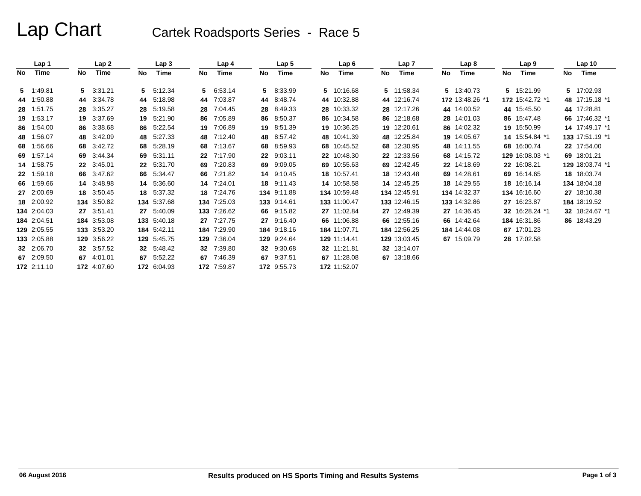# Lap Chart Cartek Roadsports Series - Race 5

|      | Lap 1       |    | Lap2        |    | Lap <sub>3</sub> |     | Lap 4       |    | Lap 5       |    | Lap6         |    | Lap 7        |    | Lap 8           |    | Lap <sub>9</sub> |    | Lap <sub>10</sub> |
|------|-------------|----|-------------|----|------------------|-----|-------------|----|-------------|----|--------------|----|--------------|----|-----------------|----|------------------|----|-------------------|
| No l | Time        | No | Time        | No | Time             | No  | Time        | No | Time        | No | Time         | No | Time         | No | Time            | No | <b>Time</b>      | No | Time              |
|      | 5 1:49.81   |    | 5 3:31.21   |    | 5 5:12.34        | 5.  | 6:53.14     | 5  | 8:33.99     |    | 5 10:16.68   |    | 5 11:58.34   |    | 5 13:40.73      |    | 5 15:21.99       |    | 5 17:02.93        |
|      | 44 1:50.88  |    | 44 3:34.78  |    | 44 5:18.98       | 44  | 7:03.87     | 44 | 8:48.74     |    | 44 10:32.88  |    | 44 12:16.74  |    | 172 13:48.26 *1 |    | 172 15:42.72 *1  |    | 48 17:15.18 *1    |
|      | 28 1:51.75  |    | 28 3:35.27  | 28 | 5:19.58          | 28  | 7:04.45     |    | 28 8:49.33  |    | 28 10:33.32  |    | 28 12:17.26  |    | 44 14:00.52     |    | 44 15:45.50      |    | 44 17:28.81       |
|      | 19 1:53.17  |    | 19 3:37.69  | 19 | 5:21.90          | 86  | 7:05.89     |    | 86 8:50.37  |    | 86 10:34.58  |    | 86 12:18.68  |    | 28 14:01.03     |    | 86 15:47.48      |    | 66 17:46.32 *1    |
|      | 86 1:54.00  |    | 86 3:38.68  |    | 86 5:22.54       | 19  | 7:06.89     |    | 19 8:51.39  |    | 19 10:36.25  |    | 19 12:20.61  |    | 86 14:02.32     |    | 19 15:50.99      |    | 14 17:49.17 *1    |
|      | 48 1:56.07  |    | 48 3:42.09  | 48 | 5:27.33          | 48  | 7:12.40     |    | 48 8:57.42  |    | 48 10:41.39  |    | 48 12:25.84  |    | 19 14:05.67     |    | 14 15:54.84 *1   |    | 133 17:51.19 *1   |
|      | 68 1:56.66  |    | 68 3:42.72  | 68 | 5:28.19          | 68  | 7:13.67     |    | 68 8:59.93  |    | 68 10:45.52  |    | 68 12:30.95  |    | 48 14:11.55     |    | 68 16:00.74      |    | 22 17:54.00       |
|      | 69 1:57.14  |    | 69 3:44.34  | 69 | 5:31.11          | 22  | 7:17.90     |    | 22 9:03.11  |    | 22 10:48.30  |    | 22 12:33.56  |    | 68 14:15.72     |    | 129 16:08.03 *1  |    | 69 18:01.21       |
|      | 14 1:58.75  |    | 22 3:45.01  |    | 22 5:31.70       | 69  | 7:20.83     |    | 69 9:09.05  |    | 69 10:55.63  |    | 69 12:42.45  |    | 22 14:18.69     |    | 22 16:08.21      |    | 129 18:03.74 *1   |
|      | 22 1:59.18  |    | 66 3:47.62  |    | 66 5:34.47       | 66  | 7:21.82     |    | 14 9:10.45  |    | 18 10:57.41  |    | 18 12:43.48  |    | 69 14:28.61     |    | 69 16:14.65      |    | 18 18:03.74       |
|      | 66 1:59.66  |    | 14 3:48.98  |    | 14 5:36.60       | 14  | 7:24.01     |    | 18 9:11.43  |    | 14 10:58.58  |    | 14 12:45.25  |    | 18 14:29.55     |    | 18 16:16.14      |    | 134 18:04.18      |
|      | 27 2:00.69  |    | 18 3:50.45  |    | 18 5:37.32       | 18  | 7:24.76     |    | 134 9:11.88 |    | 134 10:59.48 |    | 134 12:45.91 |    | 134 14:32.37    |    | 134 16:16.60     |    | 27 18:10.38       |
|      | 18 2:00.92  |    | 134 3:50.82 |    | 134 5:37.68      | 134 | 7:25.03     |    | 133 9:14.61 |    | 133 11:00.47 |    | 133 12:46.15 |    | 133 14:32.86    |    | 27 16:23.87      |    | 184 18:19.52      |
|      | 134 2:04.03 |    | 27 3:51.41  |    | 27 5:40.09       | 133 | 7:26.62     |    | 66 9:15.82  |    | 27 11:02.84  |    | 27 12:49.39  |    | 27 14:36.45     |    | 32 16:28.24 *1   |    | 32 18:24.67 *1    |
|      | 184 2:04.51 |    | 184 3:53.08 |    | 133 5:40.18      |     | 27 7:27.75  |    | 27 9:16.40  |    | 66 11:06.88  |    | 66 12:55.16  |    | 66 14:42.64     |    | 184 16:31.86     |    | 86 18:43.29       |
|      | 129 2:05.55 |    | 133 3:53.20 |    | 184 5:42.11      | 184 | 7:29.90     |    | 184 9:18.16 |    | 184 11:07.71 |    | 184 12:56.25 |    | 184 14:44.08    |    | 67 17:01.23      |    |                   |
|      | 133 2:05.88 |    | 129 3:56.22 |    | 129 5:45.75      | 129 | 7:36.04     |    | 129 9:24.64 |    | 129 11:14.41 |    | 129 13:03.45 |    | 67 15:09.79     |    | 28 17:02.58      |    |                   |
|      | 32 2:06.70  |    | 32 3:57.52  |    | 32 5:48.42       | 32  | 7:39.80     |    | 32 9.30.68  |    | 32 11:21.81  |    | 32 13:14.07  |    |                 |    |                  |    |                   |
|      | 67 2:09.50  |    | 67 4:01.01  |    | 67 5:52.22       | 67  | 7:46.39     |    | 67 9:37.51  |    | 67 11:28.08  |    | 67 13:18.66  |    |                 |    |                  |    |                   |
|      | 172 2:11.10 |    | 172 4:07.60 |    | 172 6:04.93      |     | 172 7:59.87 |    | 172 9:55.73 |    | 172 11:52.07 |    |              |    |                 |    |                  |    |                   |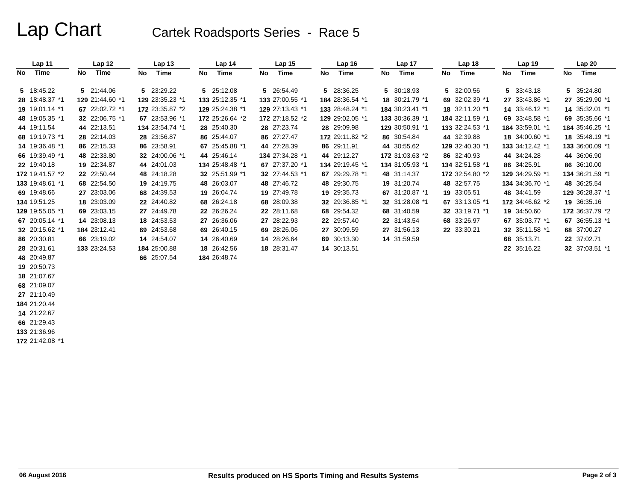# Lap Chart Cartek Roadsports Series - Race 5

| Lap 11          |    | Lap 12          |    | Lap <sub>13</sub> |    | Lap 14          |    | Lap <sub>15</sub> | Lap 16          |    | Lap 17          |    | Lap 18          |    | Lap 19          |    | Lap 20          |
|-----------------|----|-----------------|----|-------------------|----|-----------------|----|-------------------|-----------------|----|-----------------|----|-----------------|----|-----------------|----|-----------------|
| Time<br>No      | No | Time            | No | Time              | No | Time            | No | Time              | No Time         | No | Time            | No | Time            | No | Time            | No | <b>Time</b>     |
| 5 18:45.22      |    | 5 21:44.06      |    | 5 23:29.22        |    | 5 25:12.08      |    | 5 26:54.49        | 5 28:36.25      |    | 5 30:18.93      |    | 5 32:00.56      |    | 5 33:43.18      |    | 5 35:24.80      |
| 28 18:48.37 *1  |    | 129 21:44.60 *1 |    | 129 23:35.23 *1   |    | 133 25:12.35 *1 |    | 133 27:00.55 *1   | 184 28:36.54 *1 |    | 18 30:21.79 *1  |    | 69 32:02.39 *1  |    | 27 33:43.86 *1  |    | 27 35:29.90 *1  |
| 19 19:01.14 *1  |    | 67 22:02.72 *1  |    | 172 23:35.87 *2   |    | 129 25:24.38 *1 |    | 129 27:13.43 *1   | 133 28:48.24 *1 |    | 184 30:23.41 *1 |    | 18 32:11.20 *1  |    | 14 33:46.12 *1  |    | 14 35:32.01 *1  |
| 48 19:05.35 *1  |    | 32 22:06.75 *1  |    | 67 23:53.96 *1    |    | 172 25:26.64 *2 |    | 172 27:18.52 *2   | 129 29:02.05 *1 |    | 133 30:36.39 *1 |    | 184 32:11.59 *1 |    | 69 33:48.58 *1  |    | 69 35:35.66 *1  |
| 44 19:11.54     |    | 44 22:13.51     |    | 134 23:54.74 *1   |    | 28 25:40.30     |    | 28 27:23.74       | 28 29:09.98     |    | 129 30:50.91 *1 |    | 133 32:24.53 *1 |    | 184 33:59.01 *1 |    | 184 35:46.25 *1 |
| 68 19:19.73 *1  |    | 28 22:14.03     |    | 28 23:56.87       |    | 86 25:44.07     |    | 86 27:27.47       | 172 29:11.82 *2 |    | 86 30:54.84     |    | 44 32:39.88     |    | 18 34:00.60 *1  |    | 18 35:48.19 *1  |
| 14 19:36.48 *1  |    | 86 22:15.33     |    | 86 23:58.91       |    | 67 25:45.88 *1  |    | 44 27:28.39       | 86 29:11.91     |    | 44 30:55.62     |    | 129 32:40.30 *1 |    | 133 34:12.42 *1 |    | 133 36:00.09 *1 |
| 66 19:39.49 *1  |    | 48 22:33.80     |    | 32 24:00.06 *1    |    | 44 25:46.14     |    | 134 27:34.28 *1   | 44 29:12.27     |    | 172 31:03.63 *2 |    | 86 32:40.93     |    | 44 34:24.28     |    | 44 36:06.90     |
| 22 19:40.18     |    | 19 22:34.87     |    | 44 24:01.03       |    | 134 25:48.48 *1 |    | 67 27:37.20 *1    | 134 29:19.45 *1 |    | 134 31:05.93 *1 |    | 134 32:51.58 *1 |    | 86 34:25.91     |    | 86 36:10.00     |
| 172 19:41.57 *2 |    | 22 22:50.44     |    | 48 24:18.28       |    | 32 25:51.99 *1  |    | 32 27:44.53 *1    | 67 29:29.78 *1  |    | 48 31:14.37     |    | 172 32:54.80 *2 |    | 129 34:29.59 *1 |    | 134 36:21.59 *1 |
| 133 19:48.61 *1 |    | 68 22:54.50     |    | 19 24:19.75       |    | 48 26:03.07     |    | 48 27:46.72       | 48 29:30.75     |    | 19 31:20.74     |    | 48 32:57.75     |    | 134 34:36.70 *1 |    | 48 36:25.54     |
| 69 19:48.66     |    | 27 23:03.06     |    | 68 24:39.53       |    | 19 26:04.74     |    | 19 27:49.78       | 19 29:35.73     |    | 67 31:20.87 *1  |    | 19 33:05.51     |    | 48 34:41.59     |    | 129 36:28.37 *1 |
| 134 19:51.25    |    | 18 23:03.09     |    | 22 24:40.82       |    | 68 26:24.18     |    | 68 28:09.38       | 32 29:36.85 *1  |    | 32 31:28.08 *1  |    | 67 33:13.05 *1  |    | 172 34:46.62 *2 |    | 19 36:35.16     |
| 129 19:55.05 *1 |    | 69 23:03.15     |    | 27 24:49.78       |    | 22 26:26.24     |    | 22 28:11.68       | 68 29:54.32     |    | 68 31:40.59     |    | 32 33:19.71 *1  |    | 19 34:50.60     |    | 172 36:37.79 *2 |
| 67 20:05.14 *1  |    | 14 23:08.13     |    | 18 24:53.53       |    | 27 26:36.06     |    | 27 28:22.93       | 22 29:57.40     |    | 22 31:43.54     |    | 68 33:26.97     |    | 67 35:03.77 *1  |    | 67 36:55.13 *1  |
| 32 20:15.62 *1  |    | 184 23:12.41    |    | 69 24:53.68       |    | 69 26:40.15     |    | 69 28:26.06       | 27 30:09.59     |    | 27 31:56.13     |    | 22 33:30.21     |    | 32 35:11.58 *1  |    | 68 37:00.27     |
| 86 20:30.81     |    | 66 23:19.02     |    | 14 24:54.07       |    | 14 26:40.69     |    | 14 28:26.64       | 69 30:13.30     |    | 14 31:59.59     |    |                 |    | 68 35:13.71     |    | 22 37:02.71     |
| 28 20:31.61     |    | 133 23:24.53    |    | 184 25:00.88      |    | 18 26:42.56     |    | 18 28:31.47       | 14 30:13.51     |    |                 |    |                 |    | 22 35:16.22     |    | 32 37:03.51 *1  |
| 48 20:49.87     |    |                 |    | 66 25:07.54       |    | 184 26:48.74    |    |                   |                 |    |                 |    |                 |    |                 |    |                 |
| 19 20:50.73     |    |                 |    |                   |    |                 |    |                   |                 |    |                 |    |                 |    |                 |    |                 |
| 18 21:07.67     |    |                 |    |                   |    |                 |    |                   |                 |    |                 |    |                 |    |                 |    |                 |
| 68 21:09.07     |    |                 |    |                   |    |                 |    |                   |                 |    |                 |    |                 |    |                 |    |                 |
| 27 21:10.49     |    |                 |    |                   |    |                 |    |                   |                 |    |                 |    |                 |    |                 |    |                 |
| 184 21:20.44    |    |                 |    |                   |    |                 |    |                   |                 |    |                 |    |                 |    |                 |    |                 |
| 14 21:22.67     |    |                 |    |                   |    |                 |    |                   |                 |    |                 |    |                 |    |                 |    |                 |
| 66 21:29.43     |    |                 |    |                   |    |                 |    |                   |                 |    |                 |    |                 |    |                 |    |                 |
| 133 21:36.96    |    |                 |    |                   |    |                 |    |                   |                 |    |                 |    |                 |    |                 |    |                 |
| 172 21:42.08 *1 |    |                 |    |                   |    |                 |    |                   |                 |    |                 |    |                 |    |                 |    |                 |
|                 |    |                 |    |                   |    |                 |    |                   |                 |    |                 |    |                 |    |                 |    |                 |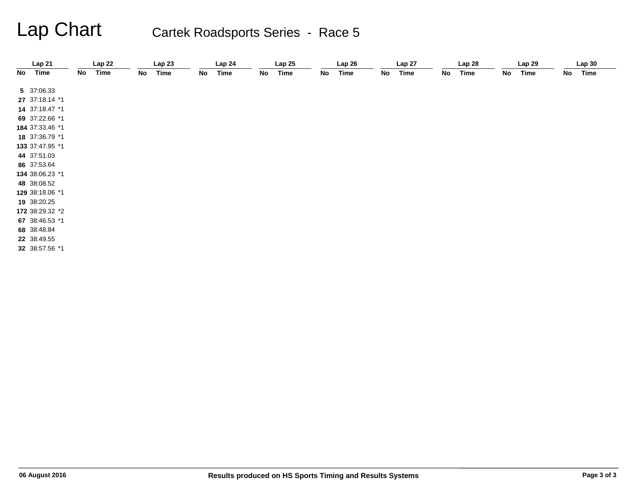# Lap Chart Cartek Roadsports Series - Race 5

|    | Lap21           |    | Lap22 |    | Lap23       |    | Lap24 |    | Lap25       |    | Lap26       |    | Lap 27 |    | Lap28 |    | Lap 29      |    | Lap30       |
|----|-----------------|----|-------|----|-------------|----|-------|----|-------------|----|-------------|----|--------|----|-------|----|-------------|----|-------------|
| No | Time            | No | Time  | No | <b>Time</b> | No | Time  | No | <b>Time</b> | No | <b>Time</b> | No | Time   | No | Time  | No | <b>Time</b> | No | <b>Time</b> |
|    | 5 37:06.33      |    |       |    |             |    |       |    |             |    |             |    |        |    |       |    |             |    |             |
|    | 27 37:18.14 *1  |    |       |    |             |    |       |    |             |    |             |    |        |    |       |    |             |    |             |
|    | 14 37:18.47 *1  |    |       |    |             |    |       |    |             |    |             |    |        |    |       |    |             |    |             |
|    | 69 37:22.66 *1  |    |       |    |             |    |       |    |             |    |             |    |        |    |       |    |             |    |             |
|    | 184 37:33.46 *1 |    |       |    |             |    |       |    |             |    |             |    |        |    |       |    |             |    |             |
|    | 18 37:36.79 *1  |    |       |    |             |    |       |    |             |    |             |    |        |    |       |    |             |    |             |
|    | 133 37:47.95 *1 |    |       |    |             |    |       |    |             |    |             |    |        |    |       |    |             |    |             |
|    | 44 37:51.03     |    |       |    |             |    |       |    |             |    |             |    |        |    |       |    |             |    |             |
|    | 86 37:53.64     |    |       |    |             |    |       |    |             |    |             |    |        |    |       |    |             |    |             |
|    | 134 38:06.23 *1 |    |       |    |             |    |       |    |             |    |             |    |        |    |       |    |             |    |             |
|    | 48 38:08.52     |    |       |    |             |    |       |    |             |    |             |    |        |    |       |    |             |    |             |
|    | 129 38:18.06 *1 |    |       |    |             |    |       |    |             |    |             |    |        |    |       |    |             |    |             |
|    | 19 38:20.25     |    |       |    |             |    |       |    |             |    |             |    |        |    |       |    |             |    |             |
|    | 172 38:29.32 *2 |    |       |    |             |    |       |    |             |    |             |    |        |    |       |    |             |    |             |
|    | 67 38:46.53 *1  |    |       |    |             |    |       |    |             |    |             |    |        |    |       |    |             |    |             |
|    | 68 38:48.84     |    |       |    |             |    |       |    |             |    |             |    |        |    |       |    |             |    |             |
|    | 22 38:49.55     |    |       |    |             |    |       |    |             |    |             |    |        |    |       |    |             |    |             |
|    | 32 38:57.56 *1  |    |       |    |             |    |       |    |             |    |             |    |        |    |       |    |             |    |             |
|    |                 |    |       |    |             |    |       |    |             |    |             |    |        |    |       |    |             |    |             |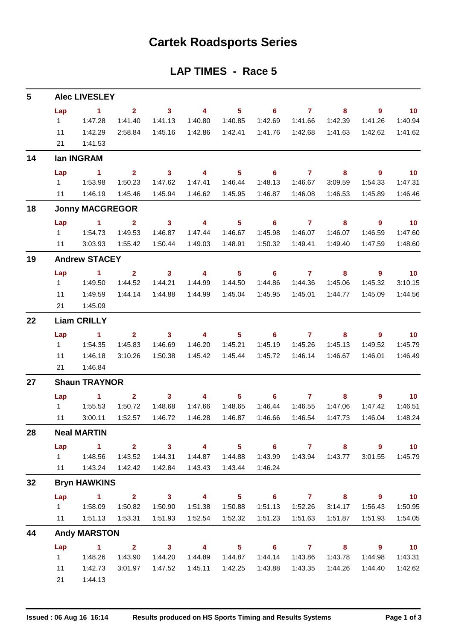## **Cartek Roadsports Series**

### **LAP TIMES - Race 5**

| 5  |           | <b>Alec LIVESLEY</b>             |                         |                         |                         |                            |                            |                |                         |                            |                          |
|----|-----------|----------------------------------|-------------------------|-------------------------|-------------------------|----------------------------|----------------------------|----------------|-------------------------|----------------------------|--------------------------|
|    | Lap       | $\sim$ 1                         | 2 <sup>1</sup>          | $\overline{\mathbf{3}}$ | $\overline{4}$          | $5 -$                      | $\overline{\phantom{a}}$ 6 | $\overline{7}$ | 8                       | $\overline{9}$             | $\overline{10}$          |
|    | 1         | 1:47.28                          | 1:41.40                 | 1:41.13                 | 1:40.80                 | 1:40.85                    | 1:42.69                    | 1:41.66        | 1:42.39                 | 1:41.26                    | 1:40.94                  |
|    | 11        | 1:42.29                          | 2:58.84                 | 1:45.16                 | 1:42.86                 | 1:42.41                    | 1:41.76                    | 1:42.68        | 1:41.63                 | 1:42.62                    | 1:41.62                  |
|    | 21        | 1:41.53                          |                         |                         |                         |                            |                            |                |                         |                            |                          |
| 14 |           | lan INGRAM                       |                         |                         |                         |                            |                            |                |                         |                            |                          |
|    | Lap       | $\sim$ 1                         | $2^{\circ}$             | $\overline{\mathbf{3}}$ | $\overline{4}$          | 5 <sub>1</sub>             | $\overline{\phantom{0}}$ 6 | $\overline{7}$ | 8                       | - 9                        | $\blacksquare$ 10        |
|    | $1 \quad$ | 1:53.98                          | 1:50.23                 | 1:47.62                 | 1:47.41                 | 1:46.44                    | 1:48.13                    | 1:46.67        | 3:09.59                 | 1:54.33                    | 1:47.31                  |
|    | 11        | 1:46.19                          | 1:45.46                 | 1:45.94                 | 1:46.62                 | 1:45.95                    | 1:46.87                    | 1:46.08        | 1:46.53                 | 1:45.89                    | 1:46.46                  |
| 18 |           | <b>Jonny MACGREGOR</b>           |                         |                         |                         |                            |                            |                |                         |                            |                          |
|    | Lap       | $\sim$ 1.000 $\sim$ 1.000 $\sim$ | $\overline{2}$          | $\overline{\mathbf{3}}$ | $\overline{\mathbf{4}}$ | 5 <sub>1</sub>             | $\overline{\phantom{0}}$ 6 | $\overline{7}$ | 8                       | $\overline{9}$             | $\overline{\mathbf{10}}$ |
|    | $1 \quad$ | 1:54.73                          | 1:49.53                 | 1:46.87                 | 1:47.44                 | 1:46.67                    | 1:45.98                    | 1:46.07        | 1:46.07                 | 1:46.59                    | 1:47.60                  |
|    | 11        | 3:03.93                          | 1:55.42                 | 1:50.44                 | 1:49.03                 | 1:48.91                    | 1:50.32                    | 1:49.41        | 1:49.40                 | 1:47.59                    | 1:48.60                  |
| 19 |           | <b>Andrew STACEY</b>             |                         |                         |                         |                            |                            |                |                         |                            |                          |
|    | Lap       | $\sim$ 1 $\sim$ 2                |                         | $\overline{\mathbf{3}}$ | $\overline{\mathbf{4}}$ | 5 <sub>1</sub>             | $\overline{\phantom{0}}$ 6 | $\overline{7}$ | 8                       | - 9                        | $\overline{10}$          |
|    | $1 \quad$ | 1:49.50                          | 1:44.52                 | 1:44.21                 | 1:44.99                 | 1:44.50                    | 1:44.86                    | 1:44.36        | 1:45.06                 | 1:45.32                    | 3:10.15                  |
|    | 11        | 1:49.59                          | 1:44.14                 | 1:44.88                 | 1:44.99                 | 1:45.04                    | 1:45.95                    | 1:45.01        | 1:44.77                 | 1:45.09                    | 1:44.56                  |
|    | 21        | 1:45.09                          |                         |                         |                         |                            |                            |                |                         |                            |                          |
| 22 |           | <b>Liam CRILLY</b>               |                         |                         |                         |                            |                            |                |                         |                            |                          |
|    | Lap       | $\sim$ 1                         | 2 <sup>7</sup>          | $\sim$ 3                | $\overline{4}$          | 5 <sup>5</sup>             | 6                          | $\mathbf{7}$   | 8                       | $\overline{9}$             | $\overline{10}$          |
|    | $1 \quad$ | 1:54.35                          | 1:45.83                 | 1:46.69                 | 1:46.20                 | 1:45.21                    | 1:45.19                    | 1:45.26        | 1:45.13                 | 1:49.52                    | 1:45.79                  |
|    | 11        | 1:46.18                          | 3:10.26                 | 1:50.38                 | 1:45.42                 | 1:45.44                    | 1:45.72                    | 1:46.14        | 1:46.67                 | 1:46.01                    | 1:46.49                  |
|    | 21        | 1:46.84                          |                         |                         |                         |                            |                            |                |                         |                            |                          |
| 27 |           | <b>Shaun TRAYNOR</b>             |                         |                         |                         |                            |                            |                |                         |                            |                          |
|    | Lap       | $\sim$ 1                         | $\overline{2}$          | 3 <sup>1</sup>          | $\overline{4}$          | 5 <sub>1</sub>             | 6                          | 7              | 8                       | $\overline{9}$             | 10                       |
|    | $1 -$     | 1:55.53                          | 1:50.72                 | 1:48.68                 | 1:47.66                 | 1:48.65                    | 1:46.44                    | 1:46.55        | 1:47.06                 | 1:47.42                    | 1:46.51                  |
|    | 11        | 3:00.11                          | 1:52.57                 | 1:46.72                 | 1:46.28                 | 1:46.87                    | 1:46.66                    | 1:46.54        | 1:47.73                 | 1:46.04                    | 1:48.24                  |
| 28 |           | <b>Neal MARTIN</b>               |                         |                         |                         |                            |                            |                |                         |                            |                          |
|    | Lap       | $\sim$ 1                         | $\overline{\mathbf{2}}$ | $\overline{\mathbf{3}}$ | $\overline{4}$          | $\overline{\phantom{0}}$ 5 | $\overline{\phantom{a}}$ 6 | $\overline{7}$ | 8 <sub>1</sub>          | $\overline{\mathbf{9}}$    | 10                       |
|    | $1 \quad$ | 1:48.56                          |                         | 1:43.52  1:44.31        | 1:44.87                 | 1:44.88                    | 1:43.99                    | 1:43.94        | 1:43.77                 | 3:01.55                    | 1:45.79                  |
|    | 11        |                                  | 1:43.24  1:42.42        | 1:42.84                 | 1:43.43                 | 1:43.44                    | 1:46.24                    |                |                         |                            |                          |
| 32 |           | <b>Bryn HAWKINS</b>              |                         |                         |                         |                            |                            |                |                         |                            |                          |
|    | Lap       | $1 \t2 \t3 \t4$                  |                         |                         |                         | $5 -$                      | $\overline{\phantom{a}}$ 6 |                | 7 8                     | $\overline{\phantom{a}}$ 9 | $\overline{10}$          |
|    |           |                                  | 1:50.82                 | 1:50.90                 | 1:51.38                 | 1:50.88                    | 1:51.13                    | 1:52.26        | 3:14.17                 | 1:56.43                    | 1:50.95                  |
|    | 11        | 1:51.13                          | 1:53.31                 | 1:51.93                 | 1:52.54                 | 1:52.32                    | 1:51.23                    | 1:51.63        | 1:51.87                 | 1:51.93                    | 1:54.05                  |
| 44 |           | <b>Andy MARSTON</b>              |                         |                         |                         |                            |                            |                |                         |                            |                          |
|    | Lap       |                                  |                         | $1 \t 2 \t 3$           | $\overline{4}$          |                            | $5 \t 6 \t 7$              |                | $\overline{\mathbf{8}}$ | $\overline{\mathbf{9}}$    | $\overline{10}$          |
|    | $1 \quad$ | 1:48.26                          | 1:43.90                 | 1:44.20                 | 1:44.89                 | 1:44.87                    | 1:44.14                    | 1:43.86        | 1:43.78                 | 1:44.98                    | 1:43.31                  |
|    | 11        | 1:42.73                          | 3:01.97                 | 1:47.52                 | 1:45.11                 | 1:42.25                    | 1:43.88                    | 1:43.35        | 1:44.26                 | 1:44.40                    | 1:42.62                  |
|    | 21        | 1:44.13                          |                         |                         |                         |                            |                            |                |                         |                            |                          |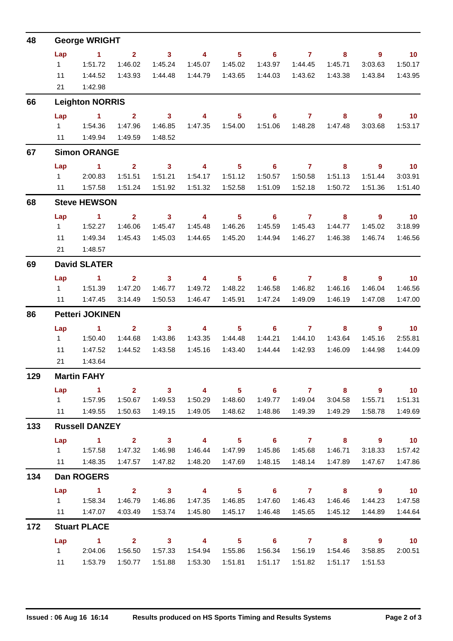| 48  | <b>George WRIGHT</b>                                                                                                     |                                    |                           |                                    |                                    |                            |                            |                                                                                                                                                                                                                                                                                                                                    |                    |                             |                             |
|-----|--------------------------------------------------------------------------------------------------------------------------|------------------------------------|---------------------------|------------------------------------|------------------------------------|----------------------------|----------------------------|------------------------------------------------------------------------------------------------------------------------------------------------------------------------------------------------------------------------------------------------------------------------------------------------------------------------------------|--------------------|-----------------------------|-----------------------------|
|     | Lap                                                                                                                      | $\sim$ $\sim$ 1                    | $2^{\circ}$               | $\overline{\mathbf{3}}$            | $\overline{4}$                     | 5 <sub>1</sub>             | $\overline{\phantom{a}}$ 6 | $\overline{7}$ and $\overline{7}$ and $\overline{7}$ and $\overline{7}$ and $\overline{7}$ and $\overline{7}$ and $\overline{7}$ and $\overline{7}$ and $\overline{7}$ and $\overline{7}$ and $\overline{7}$ and $\overline{7}$ and $\overline{7}$ and $\overline{7}$ and $\overline{7}$ and $\overline{7}$ and $\overline{7}$ and | 8                  | $\overline{9}$              | $-10$                       |
|     | $1 \quad$                                                                                                                | 1:51.72                            | 1:46.02                   | 1:45.24                            | 1:45.07                            | 1:45.02                    | 1:43.97                    | 1:44.45                                                                                                                                                                                                                                                                                                                            | 1:45.71            | 3:03.63                     | 1:50.17                     |
|     | 11                                                                                                                       | 1:44.52                            | 1:43.93                   | 1:44.48                            |                                    |                            | 1:44.03                    | 1:43.62                                                                                                                                                                                                                                                                                                                            | 1:43.38            | 1:43.84                     | 1:43.95                     |
|     | 21                                                                                                                       | 1:42.98                            |                           |                                    |                                    |                            |                            |                                                                                                                                                                                                                                                                                                                                    |                    |                             |                             |
| 66  | <b>Leighton NORRIS</b>                                                                                                   |                                    |                           |                                    |                                    |                            |                            |                                                                                                                                                                                                                                                                                                                                    |                    |                             |                             |
|     | Lap                                                                                                                      | $\sim$ 1                           | $\overline{2}$            | $\mathbf{3}$                       | $\overline{\mathbf{4}}$            | 5 <sup>5</sup>             | 6                          | $\mathbf{7}$                                                                                                                                                                                                                                                                                                                       | 8                  | 9                           | 10                          |
|     | $1 \quad$                                                                                                                | 1:54.36                            | 1:47.96                   | 1:46.85                            |                                    |                            | 1:51.06                    | 1:48.28                                                                                                                                                                                                                                                                                                                            | 1:47.48            | 3:03.68                     | 1:53.17                     |
|     | 11                                                                                                                       | 1:49.94                            | 1:49.59                   | 1:48.52                            |                                    |                            |                            |                                                                                                                                                                                                                                                                                                                                    |                    |                             |                             |
| 67  | <b>Simon ORANGE</b>                                                                                                      |                                    |                           |                                    |                                    |                            |                            |                                                                                                                                                                                                                                                                                                                                    |                    |                             |                             |
|     | Lap<br>$1 \quad$                                                                                                         | $\sim$ 1<br>2:00.83                | $\overline{2}$<br>1:51.51 | $\overline{\mathbf{3}}$<br>1:51.21 | $\overline{4}$<br>1:54.17          | 1:51.12                    | $5^{\circ}$ 6<br>1:50.57   | $\overline{7}$<br>1:50.58                                                                                                                                                                                                                                                                                                          | 8                  | - 9                         | $\overline{\phantom{0}}$ 10 |
|     |                                                                                                                          |                                    |                           | 1:51.92                            |                                    |                            | 1:51.09                    | 1:52.18                                                                                                                                                                                                                                                                                                                            | 1:51.13<br>1:50.72 | 1:51.44                     | 3:03.91<br>1:51.40          |
| 68  | 1:57.58<br>1:51.24<br>1:51.32<br>1:52.58<br>1:51.36<br>11                                                                |                                    |                           |                                    |                                    |                            |                            |                                                                                                                                                                                                                                                                                                                                    |                    |                             |                             |
|     | <b>Steve HEWSON</b>                                                                                                      |                                    |                           |                                    |                                    |                            |                            |                                                                                                                                                                                                                                                                                                                                    |                    |                             |                             |
|     | Lap<br>$1 -$                                                                                                             | $\blacktriangleleft$<br>1:52.27    | 2 <sup>7</sup><br>1:46.06 | 3 <sup>1</sup><br>1:45.47          | $\overline{4}$<br>1:45.48          | 5 <sup>1</sup><br>1:46.26  | 6<br>1:45.59               | $\overline{7}$<br>1:45.43                                                                                                                                                                                                                                                                                                          | 8<br>1:44.77       | $\overline{9}$<br>1:45.02   | $\overline{10}$<br>3:18.99  |
|     | 11                                                                                                                       | 1:49.34                            | 1:45.43                   | 1:45.03                            | 1:44.65                            | 1:45.20                    | 1:44.94                    | 1:46.27                                                                                                                                                                                                                                                                                                                            | 1:46.38            | 1:46.74                     | 1:46.56                     |
|     | 21                                                                                                                       | 1:48.57                            |                           |                                    |                                    |                            |                            |                                                                                                                                                                                                                                                                                                                                    |                    |                             |                             |
| 69  | <b>David SLATER</b>                                                                                                      |                                    |                           |                                    |                                    |                            |                            |                                                                                                                                                                                                                                                                                                                                    |                    |                             |                             |
|     | Lap                                                                                                                      | $\sim$ 1                           | $\mathbf{2}$              | 3 <sup>1</sup>                     | $\overline{\mathbf{4}}$            | 5 <sup>1</sup>             | 6                          | $\overline{7}$                                                                                                                                                                                                                                                                                                                     | 8                  | $\overline{9}$              | 10                          |
|     | $1 \quad$                                                                                                                | 1:51.39                            | 1:47.20                   | 1:46.77                            | 1:49.72                            | 1:48.22                    | 1:46.58                    | 1:46.82                                                                                                                                                                                                                                                                                                                            | 1:46.16            | 1:46.04                     | 1:46.56                     |
|     |                                                                                                                          | 11  1:47.45                        | 3:14.49                   | 1:50.53                            | 1:46.47                            | 1:45.91                    | 1:47.24                    | 1:49.09                                                                                                                                                                                                                                                                                                                            | 1:46.19            | 1:47.08                     | 1:47.00                     |
| 86  | <b>Petteri JOKINEN</b>                                                                                                   |                                    |                           |                                    |                                    |                            |                            |                                                                                                                                                                                                                                                                                                                                    |                    |                             |                             |
|     | Lap                                                                                                                      | $\sim$ $\sim$ $\sim$ $\sim$ $\sim$ | 2 <sup>7</sup>            | $\sim$ 3                           | $\overline{4}$                     | $\overline{\phantom{1}}$ 5 |                            | 67                                                                                                                                                                                                                                                                                                                                 | 8                  | 9                           | $\overline{10}$             |
|     | $1 \quad$                                                                                                                | 1:50.40                            | 1:44.68                   | 1:43.86                            | 1:43.35                            | 1:44.48                    | 1:44.21                    | 1:44.10                                                                                                                                                                                                                                                                                                                            | 1:43.64            | 1:45.16                     | 2:55.81                     |
|     | 11                                                                                                                       | 1:47.52                            | 1:44.52                   | 1:43.58                            | 1:45.16                            | 1:43.40                    | 1:44.44                    | 1:42.93                                                                                                                                                                                                                                                                                                                            | 1:46.09            | 1:44.98                     | 1:44.09                     |
|     |                                                                                                                          | 1:43.64<br>21                      |                           |                                    |                                    |                            |                            |                                                                                                                                                                                                                                                                                                                                    |                    |                             |                             |
| 129 | <b>Martin FAHY</b>                                                                                                       |                                    |                           |                                    |                                    |                            |                            |                                                                                                                                                                                                                                                                                                                                    |                    |                             |                             |
|     | Lap                                                                                                                      | $\sim$ 1.                          | 1:50.67                   | 2 3<br>1:49.53                     | $\overline{\mathbf{4}}$<br>1:50.29 | 1:48.60                    | 5 6 7 8<br>1:49.77         | 1:49.04                                                                                                                                                                                                                                                                                                                            | 3:04.58            | <u>9 a de 19</u><br>1:55.71 | $\overline{10}$<br>1:51.31  |
|     |                                                                                                                          |                                    | 1:50.63                   | 1:49.15                            |                                    |                            | 1:48.86                    | 1:49.39                                                                                                                                                                                                                                                                                                                            | 1:49.29            | 1:58.78                     | 1:49.69                     |
| 133 | 1:49.05  1:48.62<br><b>Russell DANZEY</b>                                                                                |                                    |                           |                                    |                                    |                            |                            |                                                                                                                                                                                                                                                                                                                                    |                    |                             |                             |
|     | $2 \t 3$<br>$\overline{\mathbf{4}}$<br>$5 \t\t 6 \t\t 7 \t\t 8$<br>$\overline{\phantom{a}}$ 9<br>$\sim$ $\sim$ 1.<br>Lap |                                    |                           |                                    |                                    |                            |                            |                                                                                                                                                                                                                                                                                                                                    |                    |                             | $\sim$ 10                   |
|     |                                                                                                                          |                                    | 1:47.32                   | 1:46.98                            |                                    |                            |                            |                                                                                                                                                                                                                                                                                                                                    |                    | 3:18.33                     | 1:57.42                     |
|     |                                                                                                                          | 11   1:48.35   1:47.57             |                           | 1:47.82                            | 1:48.20                            | 1:47.69                    | 1:48.15                    | 1:48.14                                                                                                                                                                                                                                                                                                                            | 1:47.89            | 1:47.67                     | 1:47.86                     |
| 134 | Dan ROGERS                                                                                                               |                                    |                           |                                    |                                    |                            |                            |                                                                                                                                                                                                                                                                                                                                    |                    |                             |                             |
|     |                                                                                                                          | Lap 1 2 3 4 5 6 7 8 9 10           |                           |                                    |                                    |                            |                            |                                                                                                                                                                                                                                                                                                                                    |                    |                             |                             |
|     |                                                                                                                          |                                    | 1:46.79                   | 1:46.86                            | 1:47.35                            | 1:46.85                    | 1:47.60                    | 1:46.43                                                                                                                                                                                                                                                                                                                            | 1:46.46            | 1:44.23                     | 1:47.58                     |
|     |                                                                                                                          | 11   1:47.07                       | 4:03.49                   | 1:53.74                            | 1:45.80                            | 1:45.17                    | 1:46.48                    | 1:45.65                                                                                                                                                                                                                                                                                                                            | 1:45.12            | 1:44.89                     | 1:44.64                     |
| 172 | <b>Stuart PLACE</b>                                                                                                      |                                    |                           |                                    |                                    |                            |                            |                                                                                                                                                                                                                                                                                                                                    |                    |                             |                             |
|     | Lap                                                                                                                      | $\sim$ $\sim$ 1                    |                           | $2 \t 3$                           | $\overline{4}$                     |                            | $5 \t\t 6 \t\t 7 \t\t 8$   |                                                                                                                                                                                                                                                                                                                                    |                    | $\overline{\mathbf{9}}$     | $\overline{\phantom{0}}$ 10 |
|     |                                                                                                                          | 1 2:04.06                          | 1:56.50                   | 1:57.33                            |                                    |                            | 1:56.34                    | 1:56.19                                                                                                                                                                                                                                                                                                                            | 1:54.46            | 3:58.85                     | 2:00.51                     |
|     |                                                                                                                          | 11   1:53.79                       | 1:50.77                   | 1:51.88                            | 1:53.30                            | 1:51.81                    | 1:51.17                    | 1:51.82                                                                                                                                                                                                                                                                                                                            | 1:51.17            | 1:51.53                     |                             |